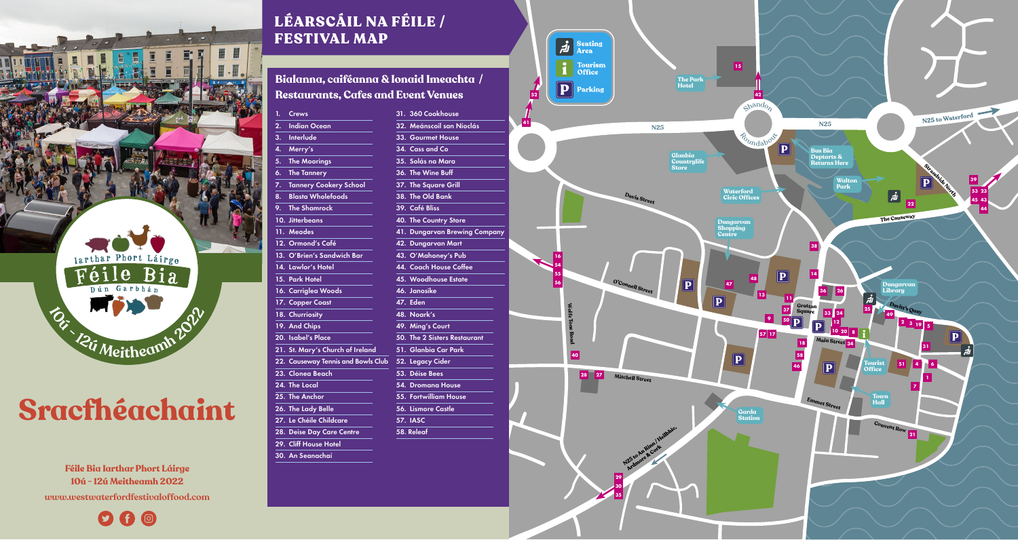

## **Sracfhéachaint**

**Féile Bia Iarthar Phort Láirge 10ú - 12ú Meitheamh 2022 [www.westwaterfordfestivaloffood.com](http://www.westwaterfordfestivaloffood.com/)**

 $O$   $\theta$   $\odot$ 

## LÉARSCÁIL NA FÉILE / FESTIVAL MAP

**Bialanna, caiféanna & Ionaid Imeachta / Restaurants, Cafes and Event Venues**

| 1. | Crews                              | 31. 360 Cookhouse            |
|----|------------------------------------|------------------------------|
| 2. | <b>Indian Ocean</b>                | 32. Meánscoil san Nioclás    |
| 3. | <b>Interlude</b>                   | 33. Gourmet House            |
| 4. | Merry's                            | 34. Cass and Co              |
| 5. | <b>The Moorings</b>                | 35. Solás na Mara            |
| 6. | <b>The Tannery</b>                 | 36. The Wine Buff            |
| 7. | <b>Tannery Cookery School</b>      | 37. The Square Grill         |
| 8. | <b>Blasta Wholefoods</b>           | 38. The Old Bank             |
| 9. | <b>The Shamrock</b>                | 39. Café Bliss               |
|    | 10. Jitterbeans                    | <b>40. The Country Store</b> |
|    | 11. Meades                         | 41. Dungarvan Brewing Co     |
|    | 12. Ormond's Café                  | 42. Dungarvan Mart           |
|    | 13. O'Brien's Sandwich Bar         | 43. O'Mahoney's Pub          |
|    | 14. Lawlor's Hotel                 | 44. Coach House Coffee       |
|    | 15. Park Hotel                     | 45. Woodhouse Estate         |
|    | 16. Carriglea Woods                | 46. Janosike                 |
|    | 17. Copper Coast                   | 47. Eden                     |
|    | 18. Churriosity                    | 48. Noark's                  |
|    | 19. And Chips                      | 49. Ming's Court             |
|    | 20. Isabel's Place                 | 50. The 2 Sisters Restaurant |
|    | 21. St. Mary's Church of Ireland   | 51. Glanbia Car Park         |
|    | 22. Causeway Tennis and Bowls Club | 52. Legacy Cider             |
|    | 23. Clonea Beach                   | 53. Déise Bees               |
|    | 24. The Local                      | 54. Dromana House            |
|    | 25. The Anchor                     | 55. Fortwilliam House        |
|    | 26. The Lady Belle                 | 56. Lismore Castle           |
|    | 27. Le Chéile Childcare            | <b>57. IASC</b>              |
|    | 28. Deise Day Care Centre          | 58. Releaf                   |
|    | 29. Cliff House Hotel              |                              |
|    |                                    |                              |

30. An Seanachaí